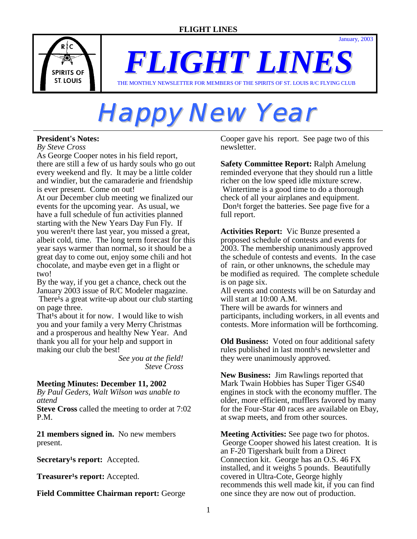January, 2003



*FLIGHT LINES* THE MONTHLY NEWSLETTER FOR MEMBERS OF THE SPIRITS OF ST. LOUIS R/C FLYING CLUB

# **Happy New Year**

## **President's Notes:**

*By Steve Cross* 

As George Cooper notes in his field report, there are still a few of us hardy souls who go out every weekend and fly. It may be a little colder and windier, but the camaraderie and friendship is ever present. Come on out!

At our December club meeting we finalized our events for the upcoming year. As usual, we have a full schedule of fun activities planned starting with the New Years Day Fun Fly. If you weren<sup>1</sup>t there last year, you missed a great, albeit cold, time. The long term forecast for this year says warmer than normal, so it should be a great day to come out, enjoy some chili and hot chocolate, and maybe even get in a flight or two!

By the way, if you get a chance, check out the January 2003 issue of R/C Modeler magazine. There<sup>1</sup>s a great write-up about our club starting on page three.

That<sup>1</sup>s about it for now. I would like to wish you and your family a very Merry Christmas and a prosperous and healthy New Year. And thank you all for your help and support in making our club the best!

 *See you at the field! Steve Cross*

# **Meeting Minutes: December 11, 2002**

*By Paul Geders, Walt Wilson was unable to attend*

**Steve Cross** called the meeting to order at 7:02 P.M.

**21 members signed in.** No new members present.

**Secretary's report:** Accepted.

**Treasurer<sup>1</sup>s report:** Accepted.

**Field Committee Chairman report:** George

Cooper gave his report. See page two of this newsletter.

**Safety Committee Report:** Ralph Amelung reminded everyone that they should run a little richer on the low speed idle mixture screw. Wintertime is a good time to do a thorough check of all your airplanes and equipment. Don<sup>1</sup>t forget the batteries. See page five for a full report.

**Activities Report:** Vic Bunze presented a proposed schedule of contests and events for 2003. The membership unanimously approved the schedule of contests and events. In the case of rain, or other unknowns, the schedule may be modified as required. The complete schedule is on page six.

All events and contests will be on Saturday and will start at 10:00 A.M.

There will be awards for winners and participants, including workers, in all events and contests. More information will be forthcoming.

**Old Business:** Voted on four additional safety rules published in last month<sup>1</sup>s newsletter and they were unanimously approved.

**New Business:** Jim Rawlings reported that Mark Twain Hobbies has Super Tiger GS40 engines in stock with the economy muffler. The older, more efficient, mufflers favored by many for the Four-Star 40 races are available on Ebay, at swap meets, and from other sources.

**Meeting Activities:** See page two for photos. George Cooper showed his latest creation. It is an F-20 Tigershark built from a Direct Connection kit. George has an O.S. 46 FX installed, and it weighs 5 pounds. Beautifully covered in Ultra-Cote, George highly recommends this well made kit, if you can find one since they are now out of production.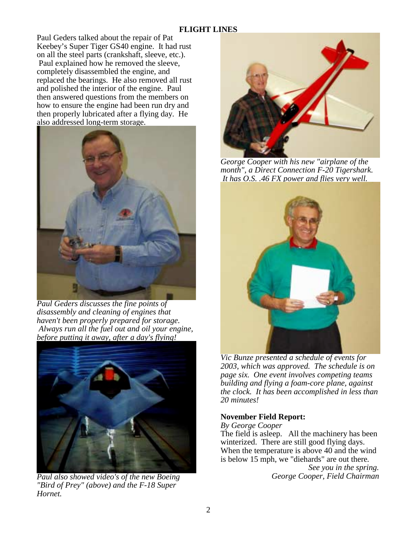Paul Geders talked about the repair of Pat Keebey's Super Tiger GS40 engine. It had rust on all the steel parts (crankshaft, sleeve, etc.). Paul explained how he removed the sleeve, completely disassembled the engine, and replaced the bearings. He also removed all rust and polished the interior of the engine. Paul then answered questions from the members on how to ensure the engine had been run dry and then properly lubricated after a flying day. He also addressed long-term storage.



*Paul Geders discusses the fine points of disassembly and cleaning of engines that haven't been properly prepared for storage. Always run all the fuel out and oil your engine, before putting it away, after a day's flying!* 



*Paul also showed video's of the new Boeing "Bird of Prey" (above) and the F-18 Super Hornet.* 



*George Cooper with his new "airplane of the month", a Direct Connection F-20 Tigershark. It has O.S. .46 FX power and flies very well.* 



*Vic Bunze presented a schedule of events for 2003, which was approved. The schedule is on page six. One event involves competing teams building and flying a foam-core plane, against the clock. It has been accomplished in less than 20 minutes!* 

#### **November Field Report:**

*By George Cooper* 

The field is asleep. All the machinery has been winterized. There are still good flying days. When the temperature is above 40 and the wind is below 15 mph, we "diehards" are out there*.* 

> *See you in the spring. George Cooper, Field Chairman*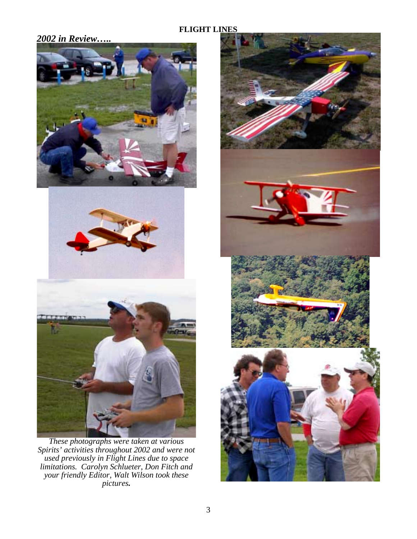# *2002 in Review…..*







*These photographs were taken at various Spirits' activities throughout 2002 and were not used previously in Flight Lines due to space limitations. Carolyn Schlueter, Don Fitch and your friendly Editor, Walt Wilson took these pictures.* 

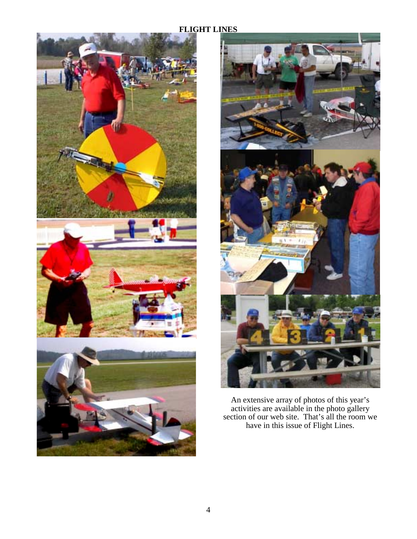



An extensive array of photos of this year's activities are available in the photo gallery section of our web site. That's all the room we have in this issue of Flight Lines.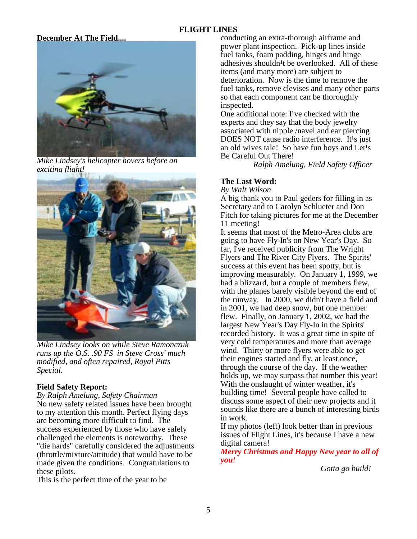#### **December At The Field....**



*Mike Lindsey's helicopter hovers before an exciting flight!* 



*Mike Lindsey looks on while Steve Ramonczuk runs up the O.S. .90 FS in Steve Cross' much modified, and often repaired, Royal Pitts Special.*

#### **Field Safety Report:**

*By Ralph Amelung, Safety Chairman*

No new safety related issues have been brought to my attention this month. Perfect flying days are becoming more difficult to find. The success experienced by those who have safely challenged the elements is noteworthy. These "die hards" carefully considered the adjustments (throttle/mixture/attitude) that would have to be made given the conditions. Congratulations to these pilots.

This is the perfect time of the year to be

conducting an extra-thorough airframe and power plant inspection. Pick-up lines inside fuel tanks, foam padding, hinges and hinge adhesives shouldn<sup>1</sup>t be overlooked. All of these items (and many more) are subject to deterioration. Now is the time to remove the fuel tanks, remove clevises and many other parts so that each component can be thoroughly inspected.

One additional note:  $I<sup>1</sup>$ ve checked with the experts and they say that the body jewelry associated with nipple /navel and ear piercing DOES NOT cause radio interference. It<sup>1</sup>s just an old wives tale! So have fun boys and Let<sup>1</sup>s Be Careful Out There!

*Ralph Amelung, Field Safety Officer* 

#### **The Last Word:**

*By Walt Wilson*

A big thank you to Paul geders for filling in as Secretary and to Carolyn Schlueter and Don Fitch for taking pictures for me at the December 11 meeting!

It seems that most of the Metro-Area clubs are going to have Fly-In's on New Year's Day. So far, I've received publicity from The Wright Flyers and The River City Flyers. The Spirits' success at this event has been spotty, but is improving measurably. On January 1, 1999, we had a blizzard, but a couple of members flew, with the planes barely visible beyond the end of the runway. In 2000, we didn't have a field and in 2001, we had deep snow, but one member flew. Finally, on January 1, 2002, we had the largest New Year's Day Fly-In in the Spirits' recorded history. It was a great time in spite of very cold temperatures and more than average wind. Thirty or more flyers were able to get their engines started and fly, at least once, through the course of the day. If the weather holds up, we may surpass that number this year! With the onslaught of winter weather, it's building time! Several people have called to discuss some aspect of their new projects and it sounds like there are a bunch of interesting birds in work.

If my photos (left) look better than in previous issues of Flight Lines, it's because I have a new digital camera!

*Merry Christmas and Happy New year to all of you!*

*Gotta go build!*